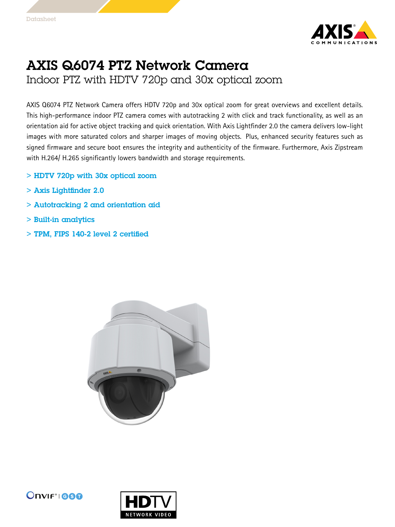

## AXIS Q6074 PTZ Network Camera Indoor PTZ with HDTV 720p and 30x optical zoom

AXIS Q6074 PTZ Network Camera offers HDTV 720p and 30x optical zoom for great overviews and excellent details. This high-performance indoor PTZ camera comes with autotracking 2 with click and track functionality, as well as an orientation aid for active object tracking and quick orientation. With Axis Lightfinder 2.0 the camera delivers low-light images with more saturated colors and sharper images of moving objects. Plus, enhanced security features such as signed firmware and secure boot ensures the integrity and authenticity of the firmware. Furthermore, Axis Zipstream with H.264/ H.265 significantly lowers bandwidth and storage requirements.

- > HDTV 720p with 30x optical zoom
- > Axis Lightfinder 2.0
- > Autotracking 2 and orientation aid
- > Built-in analytics
- > TPM, FIPS 140-2 level 2 certified





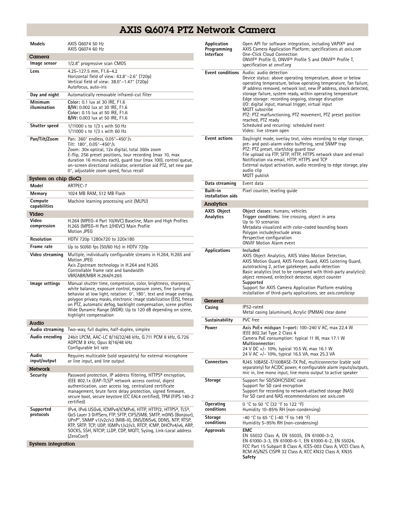## AXIS Q6074 PTZ Network Camera

| <b>Models</b>           | AXIS Q6074 50 Hz<br>AXIS Q6074 60 Hz                                                                                                                                                                                                                                                                                                                                                                                                       |
|-------------------------|--------------------------------------------------------------------------------------------------------------------------------------------------------------------------------------------------------------------------------------------------------------------------------------------------------------------------------------------------------------------------------------------------------------------------------------------|
| Camera                  |                                                                                                                                                                                                                                                                                                                                                                                                                                            |
| Image sensor            | 1/2.8" progressive scan CMOS                                                                                                                                                                                                                                                                                                                                                                                                               |
| Lens                    | 4.25-127.5 mm, F1.6-4.2<br>Horizontal field of view: 63.8°-2.6° (720p)<br>Vertical field of view: 38.0°–1.47° (720p)<br>Autofocus, auto-iris                                                                                                                                                                                                                                                                                               |
| Day and night           | Automatically removable infrared-cut filter                                                                                                                                                                                                                                                                                                                                                                                                |
| Minimum<br>illumination | Color: 0.1 lux at 30 IRE, F1.6<br>B/W: 0.002 lux at 30 IRE, F1.6<br>Color: 0.15 lux at 50 IRE, F1.6<br>B/W: 0.003 lux at 50 IRE, F1.6                                                                                                                                                                                                                                                                                                      |
| Shutter speed           | 1/11000 s to 1/3 s with 50 Hz<br>1/11000 s to 1/3 s with 60 Hz                                                                                                                                                                                                                                                                                                                                                                             |
| Pan/Tilt/Zoom           | Pan: 360° endless, 0.05°-450°/s<br>Tilt: 180°, 0.05°-450°/s<br>Zoom: 30x optical, 12x digital, total 360x zoom<br>E-flip, 256 preset positions, tour recording (max 10, max<br>duration 16 minutes each), quard tour (max 100), control queue,<br>on-screen directional indicator, orientation aid PTZ, set new pan<br>0°, adjustable zoom speed, focus recall                                                                             |
| System on chip (SoC)    |                                                                                                                                                                                                                                                                                                                                                                                                                                            |
| Model                   | ARTPEC-7                                                                                                                                                                                                                                                                                                                                                                                                                                   |
| Memory                  | 1024 MB RAM, 512 MB Flash                                                                                                                                                                                                                                                                                                                                                                                                                  |
| Compute<br>capabilities | Machine learning processing unit (MLPU)                                                                                                                                                                                                                                                                                                                                                                                                    |
| Video                   |                                                                                                                                                                                                                                                                                                                                                                                                                                            |
| Video<br>compression    | H.264 (MPEG-4 Part 10/AVC) Baseline, Main and High Profiles<br>H.265 (MPEG-H Part 2/HEVC) Main Profile<br><b>Motion JPEG</b>                                                                                                                                                                                                                                                                                                               |
| Resolution              | HDTV 720p 1280x720 to 320x180                                                                                                                                                                                                                                                                                                                                                                                                              |
| Frame rate              | Up to 50/60 fps (50/60 Hz) in HDTV 720p                                                                                                                                                                                                                                                                                                                                                                                                    |
| Video streaming         | Multiple, individually configurable streams in H.264, H.265 and<br><b>Motion JPEG</b><br>Axis Zipstream technology in H.264 and H.265<br>Controllable frame rate and bandwidth<br>VBR/ABR/MBR H.264/H.265                                                                                                                                                                                                                                  |
| lmage settings          | Manual shutter time, compression, color, brightness, sharpness,<br>white balance, exposure control, exposure zones, fine tuning of<br>behavior at low light, rotation: 0°, 180°, text and image overlay,<br>polygon privacy masks, electronic image stabilization (EIS), freeze<br>on PTZ, automatic defog, backlight compensation, scene profiles<br>Wide Dynamic Range (WDR): Up to 120 dB depending on scene,<br>highlight compensation |
| Audio                   |                                                                                                                                                                                                                                                                                                                                                                                                                                            |
| Audio streaming         | Two-way, full duplex, half-duplex, simplex                                                                                                                                                                                                                                                                                                                                                                                                 |
| Audio encoding          | 24bit LPCM, AAC-LC 8/16/32/48 kHz, G.711 PCM 8 kHz, G.726<br>ADPCM 8 kHz, Opus 8/16/48 kHz<br>Configurable bit rate                                                                                                                                                                                                                                                                                                                        |
| Audio<br>input/output   | Requires multicable (sold separately) for external microphone<br>or line input, and line output                                                                                                                                                                                                                                                                                                                                            |
| <b>Network</b>          |                                                                                                                                                                                                                                                                                                                                                                                                                                            |
| Security                | Password protection, IP address filtering, HTTPS <sup>a</sup> encryption,<br>IEEE 802.1x (EAP-TLS) <sup>a</sup> network access control, digest<br>authentication, user access log, centralized certificate<br>management, brute force delay protection, signed firmware,<br>secure boot, secure keystore (CC EAL4 certified), TPM (FIPS 140-2<br>certified)                                                                                |
| Supported<br>protocols  | IPv4, IPv6 USGv6, ICMPv4/ICMPv6, HTTP, HTTP/2, HTTPS <sup>a</sup> , TLS <sup>a</sup> ,<br>QoS Layer 3 DiffServ, FTP, SFTP, CIFS/SMB, SMTP, mDNS (Bonjour),<br>UPnP®, SNMP v1/v2c/v3 (MIB-II), DNS/DNSv6, DDNS, NTP, RTSP,<br>RTP, SRTP, TCP, UDP, IGMPv1/v2/v3, RTCP, ICMP, DHCPv4/v6, ARP,                                                                                                                                                |
|                         | SOCKS, SSH, NTCIP, LLDP, CDP, MQTT, Syslog, Link-Local address<br>(ZeroConf)                                                                                                                                                                                                                                                                                                                                                               |

| Application<br>Programming<br><b>Interface</b> | Open API for software integration, including VAPIX® and<br>AXIS Camera Application Platform; specifications at axis.com<br>One-Click Cloud Connection<br>ONVIF <sup>®</sup> Profile G, ONVIF® Profile S and ONVIF® Profile T,<br>specification at onvif.org                                                                                                                                                                                                                                                                                                                                            |
|------------------------------------------------|--------------------------------------------------------------------------------------------------------------------------------------------------------------------------------------------------------------------------------------------------------------------------------------------------------------------------------------------------------------------------------------------------------------------------------------------------------------------------------------------------------------------------------------------------------------------------------------------------------|
|                                                | Event conditions Audio: audio detection<br>Device status: above operating temperature, above or below<br>operating temperature, below operating temperature, fan failure,<br>IP address removed, network lost, new IP address, shock detected,<br>storage failure, system ready, within operating temperature<br>Edge storage: recording ongoing, storage disruption<br>I/O: digital input, manual trigger, virtual input<br>MQTT subscribe<br>PTZ: PTZ malfunctioning, PTZ movement, PTZ preset position<br>reached, PTZ ready<br>Scheduled and recurring: scheduled event<br>Video: live stream open |
| <b>Event actions</b>                           | Day/night mode, overlay text, video recording to edge storage,<br>pre- and post-alarm video buffering, send SNMP trap<br>PTZ: PTZ preset, start/stop quard tour<br>File upload via FTP, SFTP, HTTP, HTTPS network share and email<br>Notification via email, HTTP, HTTPS and TCP<br>External output activation, audio recording to edge storage, play<br>audio clip<br>MQTT publish                                                                                                                                                                                                                    |
| Data streaming                                 | Event data                                                                                                                                                                                                                                                                                                                                                                                                                                                                                                                                                                                             |
| Built-in<br>installation aids                  | Pixel counter, leveling quide                                                                                                                                                                                                                                                                                                                                                                                                                                                                                                                                                                          |
| Analytics                                      |                                                                                                                                                                                                                                                                                                                                                                                                                                                                                                                                                                                                        |
| <b>AXIS Object</b><br>Analytics                | Object classes: humans, vehicles<br>Trigger conditions: line crossing, object in area<br>Up to 10 scenarios<br>Metadata visualized with color-coded bounding boxes<br>Polygon include/exclude areas<br>Perspective configuration<br><b>ONVIF Motion Alarm event</b>                                                                                                                                                                                                                                                                                                                                    |
| <b>Applications</b>                            | Included<br>AXIS Object Analytics, AXIS Video Motion Detection,<br>AXIS Motion Guard, AXIS Fence Guard, AXIS Loitering Guard,<br>autotracking 2, active gatekeeper, audio detection<br>Basic analytics (not to be compared with third-party analytics):<br>object removed, enter/exit detector, object counter<br>Supported<br>Support for AXIS Camera Application Platform enabling<br>installation of third-party applications, see <i>axis.com/acap</i>                                                                                                                                             |
| General                                        |                                                                                                                                                                                                                                                                                                                                                                                                                                                                                                                                                                                                        |
| Casing                                         | IP52-rated<br>Metal casing (aluminum), Acrylic (PMMA) clear dome                                                                                                                                                                                                                                                                                                                                                                                                                                                                                                                                       |
| Sustainability                                 | PVC free                                                                                                                                                                                                                                                                                                                                                                                                                                                                                                                                                                                               |
| Power                                          | Axis PoE+ midspan 1-port: 100-240 V AC, max 22.4 W<br>IEEE 802.3at Type 2 Class 4<br>Camera PoE consumption: typical 11 W, max 17.1 W<br>Multiconnector:<br>24 V DC +/- 10%, typical 10.5 W, max 16.1 W<br>24 V AC +/- 10%, typical 16.5 VA, max 25.3 VA                                                                                                                                                                                                                                                                                                                                               |
| <b>Connectors</b>                              | RJ45 10BASE-T/100BASE-TX PoE, multiconnector (cable sold<br>separately) for AC/DC power, 4 configurable alarm inputs/outputs,<br>mic in, line mono input, line mono output to active speaker                                                                                                                                                                                                                                                                                                                                                                                                           |
| <b>Storage</b>                                 | Support for SD/SDHC/SDXC card<br>Support for SD card encryption<br>Support for recording to network-attached storage (NAS)<br>For SD card and NAS recommendations see axis.com                                                                                                                                                                                                                                                                                                                                                                                                                         |
| Operating<br>conditions                        | 0 °C to 50 °C (32 °F to 122 °F)<br>Humidity 10-85% RH (non-condensing)                                                                                                                                                                                                                                                                                                                                                                                                                                                                                                                                 |
| Storage<br>conditions                          | -40 °C to 65 °C (-40 °F to 149 °F)<br>Humidity 5-95% RH (non-condensing)                                                                                                                                                                                                                                                                                                                                                                                                                                                                                                                               |
| Approvals                                      | EMC<br>EN 55032 Class A, EN 55035, EN 61000-3-2,<br>EN 61000-3-3, EN 61000-6-1, EN 61000-6-2, EN 55024,<br>FCC Part 15 Subpart B Class A, ICES-003 Class A, VCCI Class A,<br>RCM AS/NZS CISPR 32 Class A, KCC KN32 Class A, KN35<br>Safety                                                                                                                                                                                                                                                                                                                                                             |